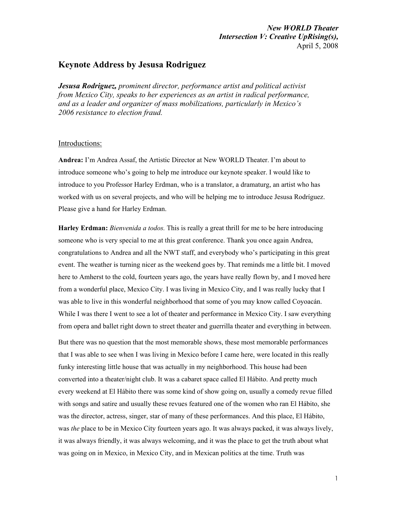# **Keynote Address by Jesusa Rodriguez**

*Jesusa Rodriguez, prominent director, performance artist and political activist from Mexico City, speaks to her experiences as an artist in radical performance, and as a leader and organizer of mass mobilizations, particularly in Mexico's 2006 resistance to election fraud.*

## Introductions:

**Andrea:** I'm Andrea Assaf, the Artistic Director at New WORLD Theater. I'm about to introduce someone who's going to help me introduce our keynote speaker. I would like to introduce to you Professor Harley Erdman, who is a translator, a dramaturg, an artist who has worked with us on several projects, and who will be helping me to introduce Jesusa Rodríguez. Please give a hand for Harley Erdman.

**Harley Erdman:** *Bienvenida a todos.* This is really a great thrill for me to be here introducing someone who is very special to me at this great conference. Thank you once again Andrea, congratulations to Andrea and all the NWT staff, and everybody who's participating in this great event. The weather is turning nicer as the weekend goes by. That reminds me a little bit. I moved here to Amherst to the cold, fourteen years ago, the years have really flown by, and I moved here from a wonderful place, Mexico City. I was living in Mexico City, and I was really lucky that I was able to live in this wonderful neighborhood that some of you may know called Coyoacán. While I was there I went to see a lot of theater and performance in Mexico City. I saw everything from opera and ballet right down to street theater and guerrilla theater and everything in between.

But there was no question that the most memorable shows, these most memorable performances that I was able to see when I was living in Mexico before I came here, were located in this really funky interesting little house that was actually in my neighborhood. This house had been converted into a theater/night club. It was a cabaret space called El Hábito. And pretty much every weekend at El Hábito there was some kind of show going on, usually a comedy revue filled with songs and satire and usually these revues featured one of the women who ran El Hábito, she was the director, actress, singer, star of many of these performances. And this place, El Hábito, was *the* place to be in Mexico City fourteen years ago. It was always packed, it was always lively, it was always friendly, it was always welcoming, and it was the place to get the truth about what was going on in Mexico, in Mexico City, and in Mexican politics at the time. Truth was

1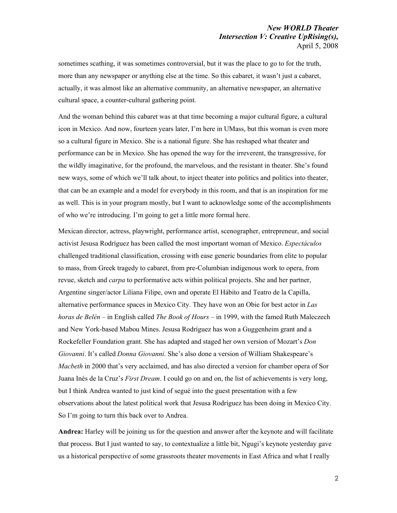sometimes scathing, it was sometimes controversial, but it was the place to go to for the truth, more than any newspaper or anything else at the time. So this cabaret, it wasn't just a cabaret, actually, it was almost like an alternative community, an alternative newspaper, an alternative cultural space, a counter-cultural gathering point.

And the woman behind this cabaret was at that time becoming a major cultural figure, a cultural icon in Mexico. And now, fourteen years later, I'm here in UMass, but this woman is even more so a cultural figure in Mexico. She is a national figure. She has reshaped what theater and performance can be in Mexico. She has opened the way for the irreverent, the transgressive, for the wildly imaginative, for the profound, the marvelous, and the resistant in theater. She's found new ways, some of which we'll talk about, to inject theater into politics and politics into theater, that can be an example and a model for everybody in this room, and that is an inspiration for me as well. This is in your program mostly, but I want to acknowledge some of the accomplishments of who we're introducing. I'm going to get a little more formal here.

Mexican director, actress, playwright, performance artist, scenographer, entrepreneur, and social activist Jesusa Rodríguez has been called the most important woman of Mexico. *Espectáculos* challenged traditional classification, crossing with ease generic boundaries from elite to popular to mass, from Greek tragedy to cabaret, from pre-Columbian indigenous work to opera, from revue, sketch and *carpa* to performative acts within political projects. She and her partner, Argentine singer/actor Liliana Filipe, own and operate El Hábito and Teatro de la Capilla, alternative performance spaces in Mexico City. They have won an Obie for best actor in *Las horas de Belén* – in English called *The Book of Hours* – in 1999, with the famed Ruth Maleczech and New York-based Mabou Mines. Jesusa Rodríguez has won a Guggenheim grant and a Rockefeller Foundation grant. She has adapted and staged her own version of Mozart's *Don Giovanni*. It's called *Donna Giovanni*. She's also done a version of William Shakespeare's *Macbeth* in 2000 that's very acclaimed, and has also directed a version for chamber opera of Sor Juana Inés de la Cruz's *First Dream*. I could go on and on, the list of achievements is very long, but I think Andrea wanted to just kind of segué into the guest presentation with a few observations about the latest political work that Jesusa Rodríguez has been doing in Mexico City. So I'm going to turn this back over to Andrea.

**Andrea:** Harley will be joining us for the question and answer after the keynote and will facilitate that process. But I just wanted to say, to contextualize a little bit, Ngugi's keynote yesterday gave us a historical perspective of some grassroots theater movements in East Africa and what I really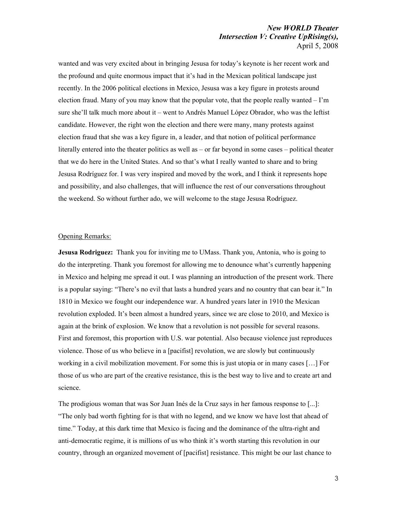wanted and was very excited about in bringing Jesusa for today's keynote is her recent work and the profound and quite enormous impact that it's had in the Mexican political landscape just recently. In the 2006 political elections in Mexico, Jesusa was a key figure in protests around election fraud. Many of you may know that the popular vote, that the people really wanted  $-I'm$ sure she'll talk much more about it – went to Andrés Manuel López Obrador, who was the leftist candidate. However, the right won the election and there were many, many protests against election fraud that she was a key figure in, a leader, and that notion of political performance literally entered into the theater politics as well as – or far beyond in some cases – political theater that we do here in the United States. And so that's what I really wanted to share and to bring Jesusa Rodríguez for. I was very inspired and moved by the work, and I think it represents hope and possibility, and also challenges, that will influence the rest of our conversations throughout the weekend. So without further ado, we will welcome to the stage Jesusa Rodríguez.

### Opening Remarks:

**Jesusa Rodriguez:** Thank you for inviting me to UMass. Thank you, Antonia, who is going to do the interpreting. Thank you foremost for allowing me to denounce what's currently happening in Mexico and helping me spread it out. I was planning an introduction of the present work. There is a popular saying: "There's no evil that lasts a hundred years and no country that can bear it." In 1810 in Mexico we fought our independence war. A hundred years later in 1910 the Mexican revolution exploded. It's been almost a hundred years, since we are close to 2010, and Mexico is again at the brink of explosion. We know that a revolution is not possible for several reasons. First and foremost, this proportion with U.S. war potential. Also because violence just reproduces violence. Those of us who believe in a [pacifist] revolution, we are slowly but continuously working in a civil mobilization movement. For some this is just utopia or in many cases […] For those of us who are part of the creative resistance, this is the best way to live and to create art and science.

The prodigious woman that was Sor Juan Inés de la Cruz says in her famous response to [...]: "The only bad worth fighting for is that with no legend, and we know we have lost that ahead of time." Today, at this dark time that Mexico is facing and the dominance of the ultra-right and anti-democratic regime, it is millions of us who think it's worth starting this revolution in our country, through an organized movement of [pacifist] resistance. This might be our last chance to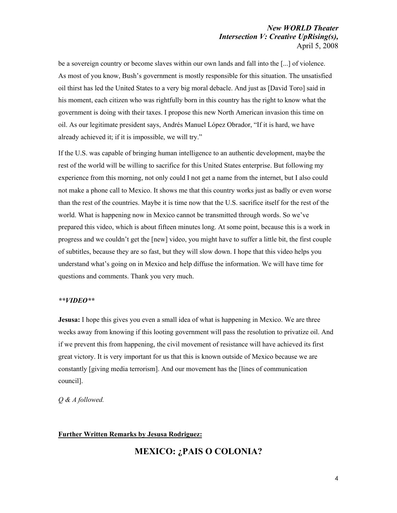be a sovereign country or become slaves within our own lands and fall into the [...] of violence. As most of you know, Bush's government is mostly responsible for this situation. The unsatisfied oil thirst has led the United States to a very big moral debacle. And just as [David Toro] said in his moment, each citizen who was rightfully born in this country has the right to know what the government is doing with their taxes. I propose this new North American invasion this time on oil. As our legitimate president says, Andrés Manuel López Obrador, "If it is hard, we have already achieved it; if it is impossible, we will try."

If the U.S. was capable of bringing human intelligence to an authentic development, maybe the rest of the world will be willing to sacrifice for this United States enterprise. But following my experience from this morning, not only could I not get a name from the internet, but I also could not make a phone call to Mexico. It shows me that this country works just as badly or even worse than the rest of the countries. Maybe it is time now that the U.S. sacrifice itself for the rest of the world. What is happening now in Mexico cannot be transmitted through words. So we've prepared this video, which is about fifteen minutes long. At some point, because this is a work in progress and we couldn't get the [new] video, you might have to suffer a little bit, the first couple of subtitles, because they are so fast, but they will slow down. I hope that this video helps you understand what's going on in Mexico and help diffuse the information. We will have time for questions and comments. Thank you very much.

## *\*\*VIDEO\*\**

**Jesusa:** I hope this gives you even a small idea of what is happening in Mexico. We are three weeks away from knowing if this looting government will pass the resolution to privatize oil. And if we prevent this from happening, the civil movement of resistance will have achieved its first great victory. It is very important for us that this is known outside of Mexico because we are constantly [giving media terrorism]. And our movement has the [lines of communication council].

*Q & A followed.*

## **Further Written Remarks by Jesusa Rodriguez:**

# **MEXICO: ¿PAIS O COLONIA?**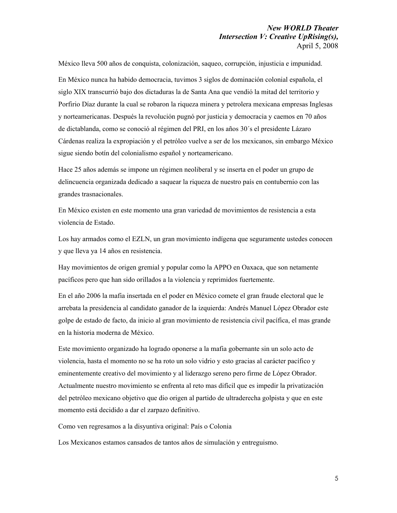México lleva 500 años de conquista, colonización, saqueo, corrupción, injusticia e impunidad.

En México nunca ha habido democracia, tuvimos 3 siglos de dominación colonial española, el siglo XIX transcurrió bajo dos dictaduras la de Santa Ana que vendió la mitad del territorio y Porfirio Díaz durante la cual se robaron la riqueza minera y petrolera mexicana empresas Inglesas y norteamericanas. Después la revolución pugnó por justicia y democracia y caemos en 70 años de dictablanda, como se conoció al régimen del PRI, en los años 30´s el presidente Lázaro Cárdenas realiza la expropiación y el petróleo vuelve a ser de los mexicanos, sin embargo México sigue siendo botín del colonialismo español y norteamericano.

Hace 25 años además se impone un régimen neoliberal y se inserta en el poder un grupo de delincuencia organizada dedicado a saquear la riqueza de nuestro país en contubernio con las grandes trasnacionales.

En México existen en este momento una gran variedad de movimientos de resistencia a esta violencia de Estado.

Los hay armados como el EZLN, un gran movimiento indígena que seguramente ustedes conocen y que lleva ya 14 años en resistencia.

Hay movimientos de origen gremial y popular como la APPO en Oaxaca, que son netamente pacíficos pero que han sido orillados a la violencia y reprimidos fuertemente.

En el año 2006 la mafia insertada en el poder en México comete el gran fraude electoral que le arrebata la presidencia al candidato ganador de la izquierda: Andrés Manuel López Obrador este golpe de estado de facto, da inicio al gran movimiento de resistencia civil pacífica, el mas grande en la historia moderna de México.

Este movimiento organizado ha logrado oponerse a la mafia gobernante sin un solo acto de violencia, hasta el momento no se ha roto un solo vidrio y esto gracias al carácter pacífico y eminentemente creativo del movimiento y al liderazgo sereno pero firme de López Obrador. Actualmente nuestro movimiento se enfrenta al reto mas difícil que es impedir la privatización del petróleo mexicano objetivo que dio origen al partido de ultraderecha golpista y que en este momento está decidido a dar el zarpazo definitivo.

Como ven regresamos a la disyuntiva original: País o Colonia

Los Mexicanos estamos cansados de tantos años de simulación y entreguismo.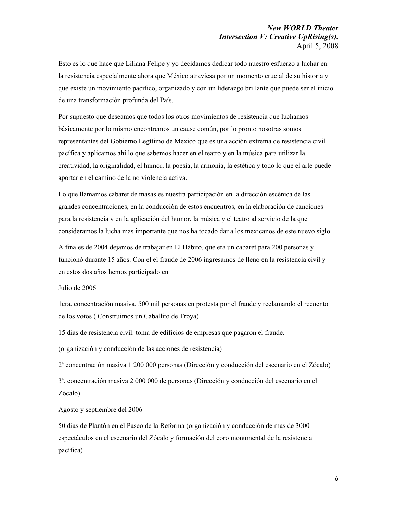Esto es lo que hace que Liliana Felipe y yo decidamos dedicar todo nuestro esfuerzo a luchar en la resistencia especialmente ahora que México atraviesa por un momento crucial de su historia y que existe un movimiento pacífico, organizado y con un liderazgo brillante que puede ser el inicio de una transformación profunda del País.

Por supuesto que deseamos que todos los otros movimientos de resistencia que luchamos básicamente por lo mismo encontremos un cause común, por lo pronto nosotras somos representantes del Gobierno Legítimo de México que es una acción extrema de resistencia civil pacífica y aplicamos ahí lo que sabemos hacer en el teatro y en la música para utilizar la creatividad, la originalidad, el humor, la poesía, la armonía, la estética y todo lo que el arte puede aportar en el camino de la no violencia activa.

Lo que llamamos cabaret de masas es nuestra participación en la dirección escénica de las grandes concentraciones, en la conducción de estos encuentros, en la elaboración de canciones para la resistencia y en la aplicación del humor, la música y el teatro al servicio de la que consideramos la lucha mas importante que nos ha tocado dar a los mexicanos de este nuevo siglo.

A finales de 2004 dejamos de trabajar en El Hábito, que era un cabaret para 200 personas y funcionó durante 15 años. Con el el fraude de 2006 ingresamos de lleno en la resistencia civil y en estos dos años hemos participado en

#### Julio de 2006

1era. concentración masiva. 500 mil personas en protesta por el fraude y reclamando el recuento de los votos ( Construimos un Caballito de Troya)

15 días de resistencia civil. toma de edificios de empresas que pagaron el fraude.

(organización y conducción de las acciones de resistencia)

2ª concentración masiva 1 200 000 personas (Dirección y conducción del escenario en el Zócalo)

3ª. concentración masiva 2 000 000 de personas (Dirección y conducción del escenario en el Zócalo)

## Agosto y septiembre del 2006

50 días de Plantón en el Paseo de la Reforma (organización y conducción de mas de 3000 espectáculos en el escenario del Zócalo y formación del coro monumental de la resistencia pacífica)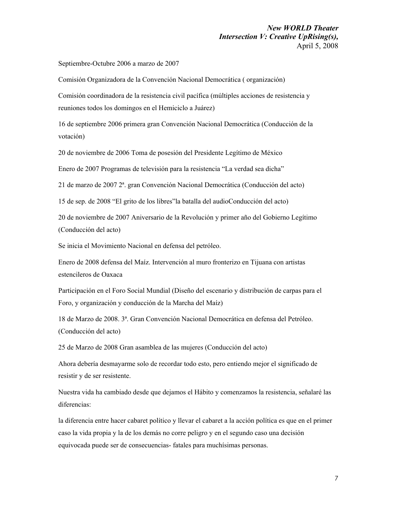Septiembre-Octubre 2006 a marzo de 2007

Comisión Organizadora de la Convención Nacional Democrática ( organización)

Comisión coordinadora de la resistencia civil pacífica (múltiples acciones de resistencia y reuniones todos los domingos en el Hemiciclo a Juárez)

16 de septiembre 2006 primera gran Convención Nacional Democrática (Conducción de la votación)

20 de noviembre de 2006 Toma de posesión del Presidente Legítimo de México

Enero de 2007 Programas de televisión para la resistencia "La verdad sea dicha"

21 de marzo de 2007 2ª. gran Convención Nacional Democrática (Conducción del acto)

15 de sep. de 2008 "El grito de los libres"la batalla del audioConducción del acto)

20 de noviembre de 2007 Aniversario de la Revolución y primer año del Gobierno Legítimo (Conducción del acto)

Se inicia el Movimiento Nacional en defensa del petróleo.

Enero de 2008 defensa del Maíz. Intervención al muro fronterizo en Tijuana con artistas estencileros de Oaxaca

Participación en el Foro Social Mundial (Diseño del escenario y distribución de carpas para el Foro, y organización y conducción de la Marcha del Maíz)

18 de Marzo de 2008. 3ª. Gran Convención Nacional Democrática en defensa del Petróleo. (Conducción del acto)

25 de Marzo de 2008 Gran asamblea de las mujeres (Conducción del acto)

Ahora debería desmayarme solo de recordar todo esto, pero entiendo mejor el significado de resistir y de ser resistente.

Nuestra vida ha cambiado desde que dejamos el Hábito y comenzamos la resistencia, señalaré las diferencias:

la diferencia entre hacer cabaret político y llevar el cabaret a la acción política es que en el primer caso la vida propia y la de los demás no corre peligro y en el segundo caso una decisión equivocada puede ser de consecuencias- fatales para muchísimas personas.